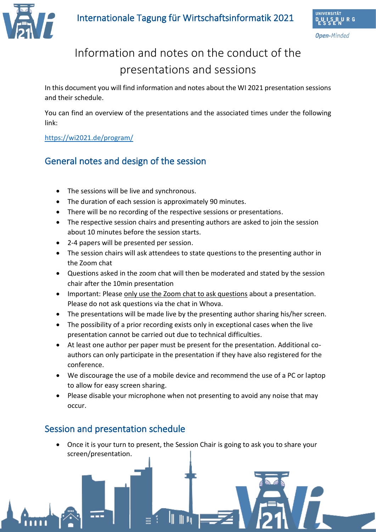

**Open-**Minded

# Information and notes on the conduct of the presentations and sessions

In this document you will find information and notes about the WI 2021 presentation sessions and their schedule.

You can find an overview of the presentations and the associated times under the following link:

#### <https://wi2021.de/program/>

### General notes and design of the session

- The sessions will be live and synchronous.
- The duration of each session is approximately 90 minutes.
- There will be no recording of the respective sessions or presentations.
- The respective session chairs and presenting authors are asked to join the session about 10 minutes before the session starts.
- 2-4 papers will be presented per session.
- The session chairs will ask attendees to state questions to the presenting author in the Zoom chat
- Questions asked in the zoom chat will then be moderated and stated by the session chair after the 10min presentation
- Important: Please only use the Zoom chat to ask questions about a presentation. Please do not ask questions via the chat in Whova.
- The presentations will be made live by the presenting author sharing his/her screen.
- The possibility of a prior recording exists only in exceptional cases when the live presentation cannot be carried out due to technical difficulties.
- At least one author per paper must be present for the presentation. Additional coauthors can only participate in the presentation if they have also registered for the conference.
- We discourage the use of a mobile device and recommend the use of a PC or laptop to allow for easy screen sharing.
- Please disable your microphone when not presenting to avoid any noise that may occur.

#### Session and presentation schedule

• Once it is your turn to present, the Session Chair is going to ask you to share your screen/presentation.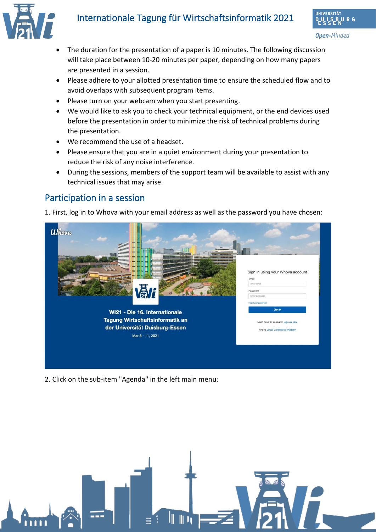## Internationale Tagung für Wirtschaftsinformatik 2021



- The duration for the presentation of a paper is 10 minutes. The following discussion will take place between 10-20 minutes per paper, depending on how many papers are presented in a session.
- Please adhere to your allotted presentation time to ensure the scheduled flow and to avoid overlaps with subsequent program items.
- Please turn on your webcam when you start presenting.
- We would like to ask you to check your technical equipment, or the end devices used before the presentation in order to minimize the risk of technical problems during the presentation.
- We recommend the use of a headset.
- Please ensure that you are in a quiet environment during your presentation to reduce the risk of any noise interference.
- During the sessions, members of the support team will be available to assist with any technical issues that may arise.

#### Participation in a session

1. First, log in to Whova with your email address as well as the password you have chosen:



2. Click on the sub-item "Agenda" in the left main menu:

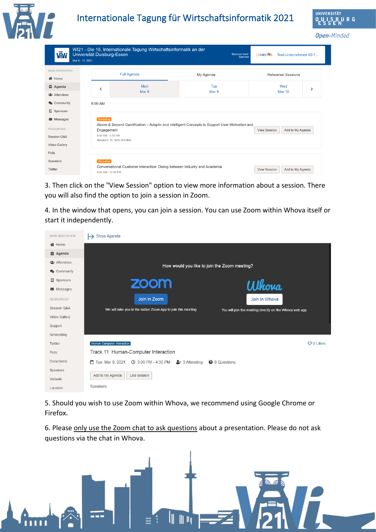



#### **NIVERSITÄ1** JRG

**Open-Minded** 

| <b>感t</b>                               | WI21 - Die 16. Internationale Tagung Wirtschaftsinformatik an der<br>Universität Duisburg-Essen<br><b>Sponsor level:</b><br>Sponsor<br>Mar 8 - 11, 2021 |                                                                                                                                                                                                                        |              |                     | <b>ISfNIRSL<sup>99</sup>b</b><br>Test-Unternehmen IIS f |  |
|-----------------------------------------|---------------------------------------------------------------------------------------------------------------------------------------------------------|------------------------------------------------------------------------------------------------------------------------------------------------------------------------------------------------------------------------|--------------|---------------------|---------------------------------------------------------|--|
| <b>MAIN NAVIGATION</b><br><b>谷</b> Home |                                                                                                                                                         | <b>Full Agenda</b>                                                                                                                                                                                                     | My Agenda    |                     | <b>Rehearsal Sessions</b>                               |  |
| <b>台</b> Agenda                         | ≺                                                                                                                                                       | Mon<br>Mar <sub>8</sub>                                                                                                                                                                                                | Tue<br>Mar 9 | Wed                 | ゝ                                                       |  |
| <b>卷</b> Attendees                      |                                                                                                                                                         |                                                                                                                                                                                                                        |              | <b>Mar 10</b>       |                                                         |  |
| Community                               | 9:00 AM                                                                                                                                                 |                                                                                                                                                                                                                        |              |                     |                                                         |  |
| $\mathbb{R}$ Sponsors                   |                                                                                                                                                         |                                                                                                                                                                                                                        |              |                     |                                                         |  |
| $\blacktriangleright$ Messages          |                                                                                                                                                         | Workshop<br>Above & Beyond Gamification - Adaptiv and Intelligent Concepts to Support User Motivation and<br>Add to My Agenda<br>Engagement<br><b>View Session</b><br>9:00 AM - 3:00 PM<br>Speakers: Dr. Sofia Schöbel |              |                     |                                                         |  |
| <b>RESOURCES</b>                        |                                                                                                                                                         |                                                                                                                                                                                                                        |              |                     |                                                         |  |
| Session Q&A                             |                                                                                                                                                         |                                                                                                                                                                                                                        |              |                     |                                                         |  |
| Video Gallery                           |                                                                                                                                                         |                                                                                                                                                                                                                        |              |                     |                                                         |  |
| Polls                                   |                                                                                                                                                         |                                                                                                                                                                                                                        |              |                     |                                                         |  |
| Speakers                                | Workshop                                                                                                                                                |                                                                                                                                                                                                                        |              |                     |                                                         |  |
| Twitter                                 | 9:00 AM - 12:00 PM                                                                                                                                      | Conversational Customer Interaction: Dialog between Industry and Academia                                                                                                                                              |              | <b>View Session</b> | Add to My Agenda                                        |  |

3. Then click on the "View Session" option to view more information about a session. There you will also find the option to join a session in Zoom.

4. In the window that opens, you can join a session. You can use Zoom within Whova itself or start it independently.

| <b>MAIN NAVIGATION</b> | Show Agenda                                                                                                              |  |  |  |
|------------------------|--------------------------------------------------------------------------------------------------------------------------|--|--|--|
| <b>谷</b> Home          |                                                                                                                          |  |  |  |
| <b>台</b> Agenda        |                                                                                                                          |  |  |  |
| <b>Attendees</b>       | How would you like to join the Zoom meeting?                                                                             |  |  |  |
| Community              |                                                                                                                          |  |  |  |
| Sponsors               | zoom                                                                                                                     |  |  |  |
| Messages               | Whova                                                                                                                    |  |  |  |
| <b>RESOURCES</b>       | Join in Zoom<br>Join in Whova                                                                                            |  |  |  |
| Session Q&A            | We will take you to the native Zoom App to join this meeting<br>You will join the meeting directly on the Whova web app. |  |  |  |
| Video Gallery          |                                                                                                                          |  |  |  |
| Support                |                                                                                                                          |  |  |  |
| Networking             |                                                                                                                          |  |  |  |
| Twitter                | $O$ 0 Likes<br>Human Computer Interaction                                                                                |  |  |  |
| Polls                  | Track 11: Human-Computer Interaction                                                                                     |  |  |  |
| Documents              | 4:30 PM 3:4:30 PM 3 Attending<br>□ Tue. Mar 9, 2021<br><b>@</b> 0 Questions                                              |  |  |  |
| Speakers               |                                                                                                                          |  |  |  |
| Website                | Add to My Agenda<br>Like session                                                                                         |  |  |  |
| Location               | Speakers                                                                                                                 |  |  |  |

5. Should you wish to use Zoom within Whova, we recommend using Google Chrome or Firefox.

6. Please only use the Zoom chat to ask questions about a presentation. Please do not ask questions via the chat in Whova.